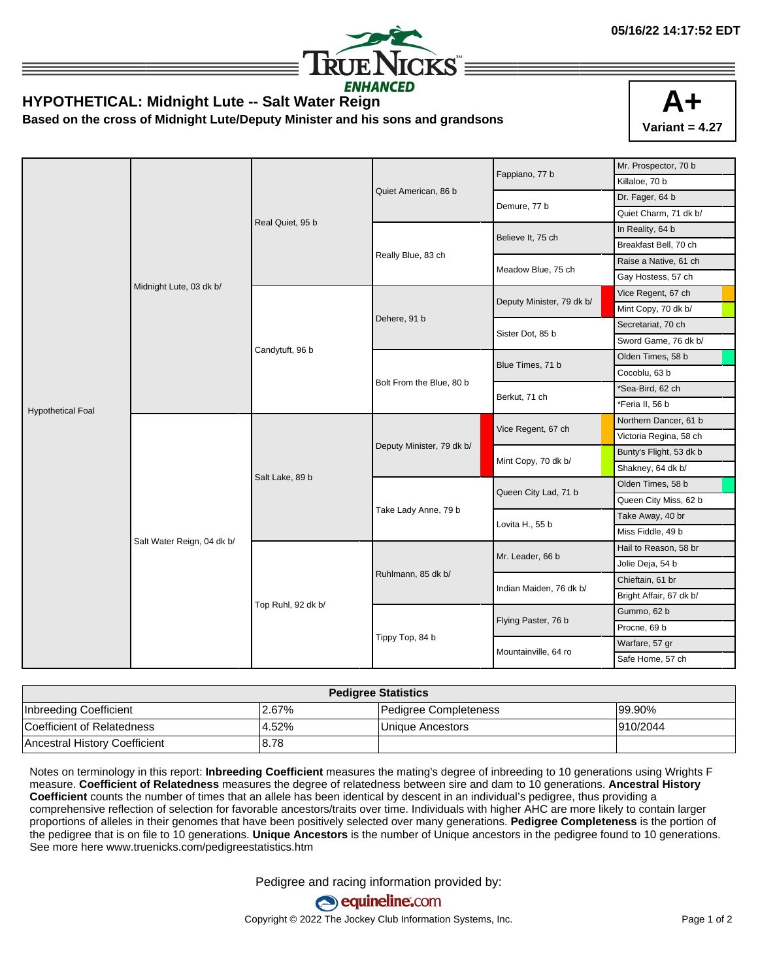

## **HYPOTHETICAL: Midnight Lute -- Salt Water Reign**

**Based on the cross of Midnight Lute/Deputy Minister and his sons and grandsons**



|                          |                            | Real Quiet, 95 b   |                           | Fappiano, 77 b            | Mr. Prospector, 70 b    |
|--------------------------|----------------------------|--------------------|---------------------------|---------------------------|-------------------------|
|                          |                            |                    |                           |                           | Killaloe, 70 b          |
|                          |                            |                    | Quiet American, 86 b      | Demure, 77 b              | Dr. Fager, 64 b         |
|                          |                            |                    |                           |                           | Quiet Charm, 71 dk b/   |
|                          |                            |                    |                           | Believe It, 75 ch         | In Reality, 64 b        |
|                          |                            |                    | Really Blue, 83 ch        |                           | Breakfast Bell, 70 ch   |
|                          |                            |                    |                           | Meadow Blue, 75 ch        | Raise a Native, 61 ch   |
|                          |                            |                    |                           |                           | Gay Hostess, 57 ch      |
|                          | Midnight Lute, 03 dk b/    | Candytuft, 96 b    | Dehere, 91 b              | Deputy Minister, 79 dk b/ | Vice Regent, 67 ch      |
|                          |                            |                    |                           |                           | Mint Copy, 70 dk b/     |
|                          |                            |                    |                           | Sister Dot, 85 b          | Secretariat, 70 ch      |
|                          |                            |                    |                           |                           | Sword Game, 76 dk b/    |
|                          |                            |                    | Bolt From the Blue, 80 b  |                           | Olden Times, 58 b       |
|                          |                            |                    |                           | Blue Times, 71 b          | Cocoblu, 63 b           |
|                          |                            |                    |                           | Berkut, 71 ch             | *Sea-Bird, 62 ch        |
| <b>Hypothetical Foal</b> |                            |                    |                           |                           | *Feria II, 56 b         |
|                          | Salt Water Reign, 04 dk b/ | Salt Lake, 89 b    | Deputy Minister, 79 dk b/ | Vice Regent, 67 ch        | Northern Dancer, 61 b   |
|                          |                            |                    |                           |                           | Victoria Regina, 58 ch  |
|                          |                            |                    |                           | Mint Copy, 70 dk b/       | Bunty's Flight, 53 dk b |
|                          |                            |                    |                           |                           | Shakney, 64 dk b/       |
|                          |                            |                    | Take Lady Anne, 79 b      | Queen City Lad, 71 b      | Olden Times, 58 b       |
|                          |                            |                    |                           |                           | Queen City Miss, 62 b   |
|                          |                            |                    |                           | Lovita H., 55 b           | Take Away, 40 br        |
|                          |                            |                    |                           |                           | Miss Fiddle, 49 b       |
|                          |                            | Top Ruhl, 92 dk b/ |                           | Mr. Leader, 66 b          | Hail to Reason, 58 br   |
|                          |                            |                    |                           |                           | Jolie Deja, 54 b        |
|                          |                            |                    | Ruhlmann, 85 dk b/        | Indian Maiden, 76 dk b/   | Chieftain, 61 br        |
|                          |                            |                    |                           |                           | Bright Affair, 67 dk b/ |
|                          |                            |                    |                           | Flying Paster, 76 b       | Gummo, 62 b             |
|                          |                            |                    |                           |                           | Procne, 69 b            |
|                          |                            |                    | Tippy Top, 84 b           | Mountainville, 64 ro      | Warfare, 57 gr          |
|                          |                            |                    |                           |                           | Safe Home, 57 ch        |

| <b>Pedigree Statistics</b>           |       |                       |          |  |  |  |
|--------------------------------------|-------|-----------------------|----------|--|--|--|
| Inbreeding Coefficient               | 2.67% | Pedigree Completeness | 199.90%  |  |  |  |
| Coefficient of Relatedness           | 4.52% | Unique Ancestors      | 910/2044 |  |  |  |
| <b>Ancestral History Coefficient</b> | 8.78  |                       |          |  |  |  |

Notes on terminology in this report: **Inbreeding Coefficient** measures the mating's degree of inbreeding to 10 generations using Wrights F measure. **Coefficient of Relatedness** measures the degree of relatedness between sire and dam to 10 generations. **Ancestral History Coefficient** counts the number of times that an allele has been identical by descent in an individual's pedigree, thus providing a comprehensive reflection of selection for favorable ancestors/traits over time. Individuals with higher AHC are more likely to contain larger proportions of alleles in their genomes that have been positively selected over many generations. **Pedigree Completeness** is the portion of the pedigree that is on file to 10 generations. **Unique Ancestors** is the number of Unique ancestors in the pedigree found to 10 generations. See more here www.truenicks.com/pedigreestatistics.htm

Pedigree and racing information provided by: